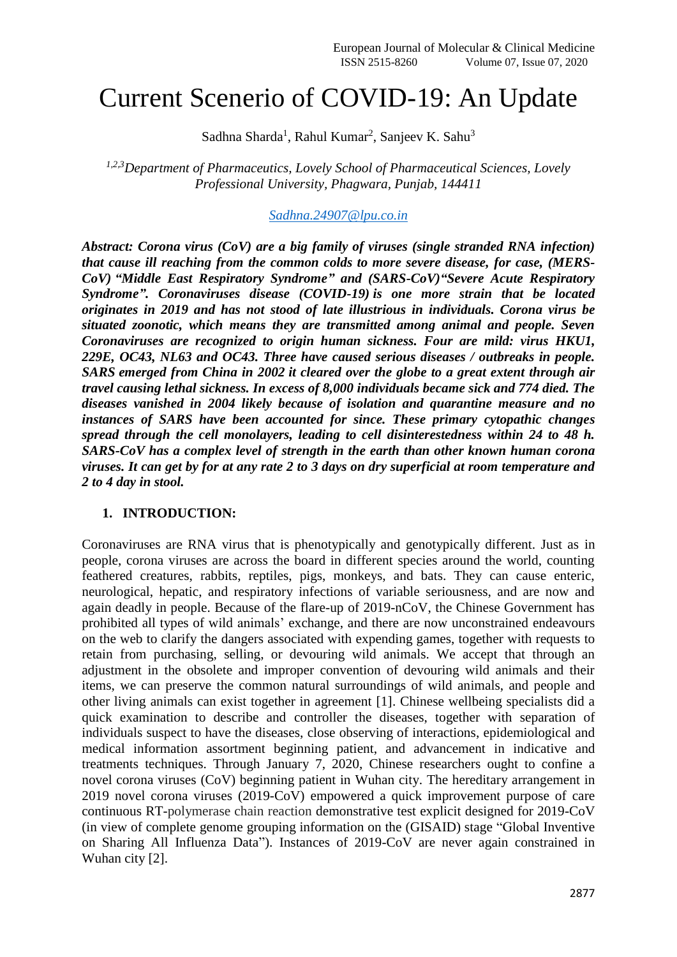# Current Scenerio of COVID-19: An Update

Sadhna Sharda<sup>1</sup>, Rahul Kumar<sup>2</sup>, Sanjeev K. Sahu<sup>3</sup>

*1,2,3Department of Pharmaceutics, Lovely School of Pharmaceutical Sciences, Lovely Professional University, Phagwara, Punjab, 144411*

*[Sadhna.24907@lpu.co.in](mailto:Sadhna.24907@lpu.co.in)*

*Abstract: Corona virus (CoV) are a big family of viruses (single stranded RNA infection) that cause ill reaching from the common colds to more severe disease, for case, (MERS-CoV) "Middle East Respiratory Syndrome" and (SARS-CoV)"Severe Acute Respiratory Syndrome". Coronaviruses disease (COVID-19) is one more strain that be located originates in 2019 and has not stood of late illustrious in individuals. Corona virus be situated zoonotic, which means they are transmitted among animal and people. Seven Coronaviruses are recognized to origin human sickness. Four are mild: virus HKU1, 229E, OC43, NL63 and OC43. Three have caused serious diseases / outbreaks in people. SARS emerged from China in 2002 it cleared over the globe to a great extent through air travel causing lethal sickness. In excess of 8,000 individuals became sick and 774 died. The diseases vanished in 2004 likely because of isolation and quarantine measure and no instances of SARS have been accounted for since. These primary cytopathic changes spread through the cell monolayers, leading to cell disinterestedness within 24 to 48 h. SARS-CoV has a complex level of strength in the earth than other known human corona viruses. It can get by for at any rate 2 to 3 days on dry superficial at room temperature and 2 to 4 day in stool.*

#### **1. INTRODUCTION:**

Coronaviruses are RNA virus that is phenotypically and genotypically different. Just as in people, corona viruses are across the board in different species around the world, counting feathered creatures, rabbits, reptiles, pigs, monkeys, and bats. They can cause enteric, neurological, hepatic, and respiratory infections of variable seriousness, and are now and again deadly in people. Because of the flare-up of 2019-nCoV, the Chinese Government has prohibited all types of wild animals' exchange, and there are now unconstrained endeavours on the web to clarify the dangers associated with expending games, together with requests to retain from purchasing, selling, or devouring wild animals. We accept that through an adjustment in the obsolete and improper convention of devouring wild animals and their items, we can preserve the common natural surroundings of wild animals, and people and other living animals can exist together in agreement [1]. Chinese wellbeing specialists did a quick examination to describe and controller the diseases, together with separation of individuals suspect to have the diseases, close observing of interactions, epidemiological and medical information assortment beginning patient, and advancement in indicative and treatments techniques. Through January 7, 2020, Chinese researchers ought to confine a novel corona viruses (CoV) beginning patient in Wuhan city. The hereditary arrangement in 2019 novel corona viruses (2019-CoV) empowered a quick improvement purpose of care continuous RT-polymerase chain reaction demonstrative test explicit designed for 2019-CoV (in view of complete genome grouping information on the (GISAID) stage "Global Inventive on Sharing All Influenza Data"). Instances of 2019-CoV are never again constrained in Wuhan city [2].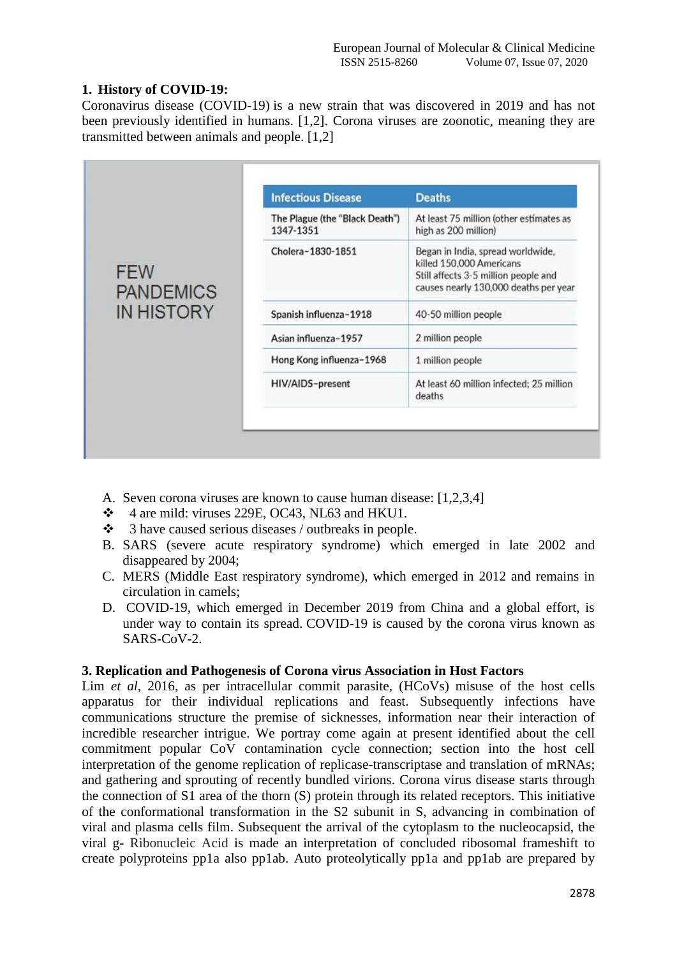# **1. History of COVID-19:**

[Coronavirus disease \(COVID-19\)](https://www.who.int/emergencies/diseases/novel-coronavirus-2019) is a new strain that was discovered in 2019 and has not been previously identified in humans. [1,2]. Corona viruses are zoonotic, meaning they are transmitted between animals and people. [1,2]

|                                                                                                                                                                                                                           | <b>Deaths</b>                                                                                                                                  |
|---------------------------------------------------------------------------------------------------------------------------------------------------------------------------------------------------------------------------|------------------------------------------------------------------------------------------------------------------------------------------------|
| The Plague (the "Black Death")<br>1347-1351<br>Cholera-1830-1851<br><b>FEW</b><br><b>PANDEMICS</b><br><b>IN HISTORY</b><br>Spanish influenza-1918<br>Asian influenza-1957<br>Hong Kong influenza-1968<br>HIV/AIDS-present | At least 75 million (other estimates as<br>high as 200 million)                                                                                |
|                                                                                                                                                                                                                           | Began in India, spread worldwide,<br>killed 150,000 Americans<br>Still affects 3-5 million people and<br>causes nearly 130,000 deaths per year |
|                                                                                                                                                                                                                           | 40-50 million people                                                                                                                           |
|                                                                                                                                                                                                                           | 2 million people                                                                                                                               |
|                                                                                                                                                                                                                           | 1 million people                                                                                                                               |
|                                                                                                                                                                                                                           | At least 60 million infected; 25 million<br>deaths                                                                                             |
|                                                                                                                                                                                                                           | <b>Infectious Disease</b>                                                                                                                      |

- A. Seven corona viruses are known to cause human disease: [1,2,3,4]
- $\div$  4 are mild: viruses 229E, OC43, NL63 and HKU1.
- 3 have caused serious diseases / outbreaks in people.
- B. SARS (severe acute respiratory syndrome) which emerged in late 2002 and disappeared by 2004;
- C. MERS (Middle East respiratory syndrome), which emerged in 2012 and remains in circulation in camels;
- D. COVID-19, which emerged in December 2019 from China and a global effort, is under way to contain its spread. COVID-19 is caused by the corona virus known as SARS-CoV-2.

#### **3. Replication and Pathogenesis of Corona virus Association in Host Factors**

Lim *et al*, 2016, as per intracellular commit parasite, (HCoVs) misuse of the host cells apparatus for their individual replications and feast. Subsequently infections have communications structure the premise of sicknesses, information near their interaction of incredible researcher intrigue. We portray come again at present identified about the cell commitment popular CoV contamination cycle connection; section into the host cell interpretation of the genome replication of replicase-transcriptase and translation of mRNAs; and gathering and sprouting of recently bundled virions. Corona virus disease starts through the connection of S1 area of the thorn (S) protein through its related receptors. This initiative of the conformational transformation in the S2 subunit in S, advancing in combination of viral and plasma cells film. Subsequent the arrival of the cytoplasm to the nucleocapsid, the viral g- Ribonucleic Acid is made an interpretation of concluded ribosomal frameshift to create polyproteins pp1a also pp1ab. Auto proteolytically pp1a and pp1ab are prepared by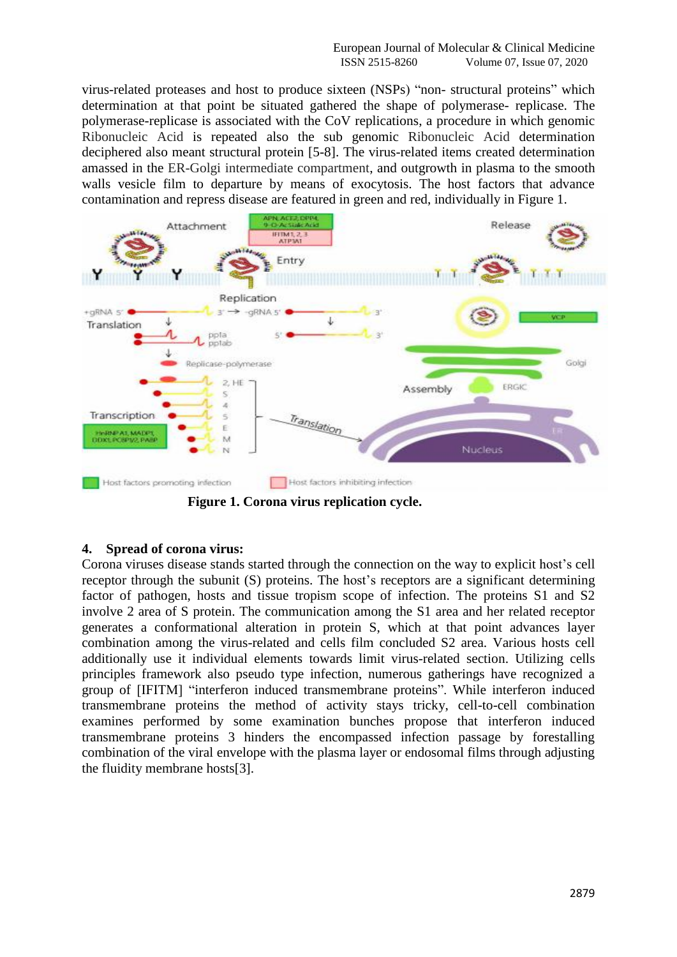virus-related proteases and host to produce sixteen (NSPs) "non- structural proteins" which determination at that point be situated gathered the shape of polymerase- replicase. The polymerase-replicase is associated with the CoV replications, a procedure in which genomic Ribonucleic Acid is repeated also the sub genomic Ribonucleic Acid determination deciphered also meant structural protein [5-8]. The virus-related items created determination amassed in the ER-Golgi intermediate compartment, and outgrowth in plasma to the smooth walls vesicle film to departure by means of exocytosis. The host factors that advance contamination and repress disease are featured in green and red, individually in Figure 1.



 **Figure 1. Corona virus replication cycle.**

# **4. Spread of corona virus:**

Corona viruses disease stands started through the connection on the way to explicit host's cell receptor through the subunit (S) proteins. The host's receptors are a significant determining factor of pathogen, hosts and tissue tropism scope of infection. The proteins S1 and S2 involve 2 area of S protein. The communication among the S1 area and her related receptor generates a conformational alteration in protein S, which at that point advances layer combination among the virus-related and cells film concluded S2 area. Various hosts cell additionally use it individual elements towards limit virus-related section. Utilizing cells principles framework also pseudo type infection, numerous gatherings have recognized a group of [IFITM] "interferon induced transmembrane proteins". While interferon induced transmembrane proteins the method of activity stays tricky, cell-to-cell combination examines performed by some examination bunches propose that interferon induced transmembrane proteins 3 hinders the encompassed infection passage by forestalling combination of the viral envelope with the plasma layer or endosomal films through adjusting the fluidity membrane hosts[3].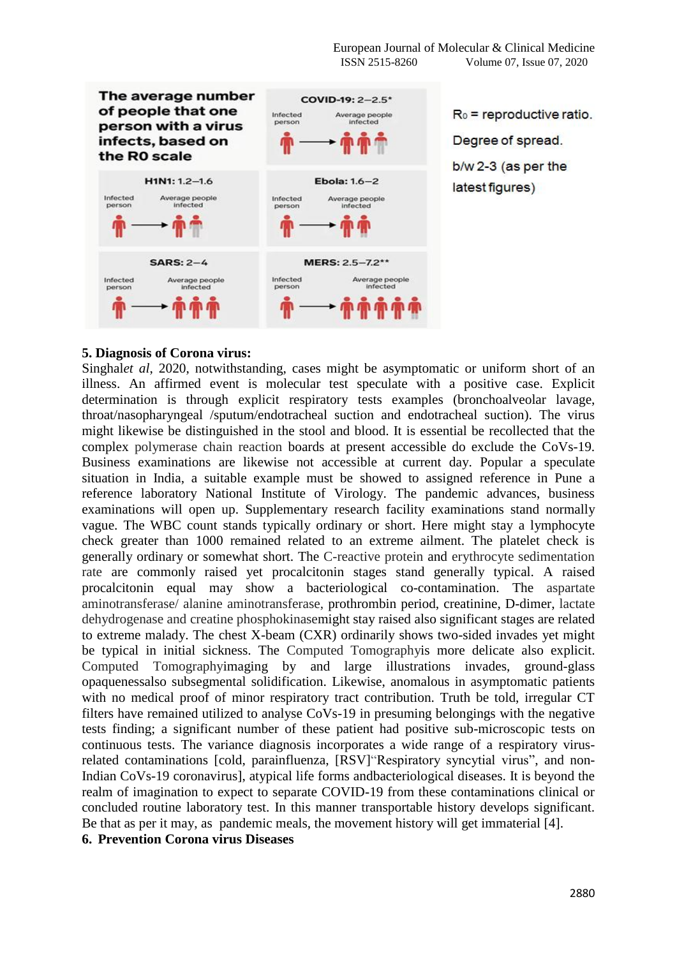

#### **5. Diagnosis of Corona virus:**

Singhal*et al*, 2020, notwithstanding, cases might be asymptomatic or uniform short of an illness. An affirmed event is molecular test speculate with a positive case. Explicit determination is through explicit respiratory tests examples (bronchoalveolar lavage, throat/nasopharyngeal /sputum/endotracheal suction and endotracheal suction). The virus might likewise be distinguished in the stool and blood. It is essential be recollected that the complex polymerase chain reaction boards at present accessible do exclude the CoVs-19. Business examinations are likewise not accessible at current day. Popular a speculate situation in India, a suitable example must be showed to assigned reference in Pune a reference laboratory National Institute of Virology. The pandemic advances, business examinations will open up. Supplementary research facility examinations stand normally vague. The WBC count stands typically ordinary or short. Here might stay a lymphocyte check greater than 1000 remained related to an extreme ailment. The platelet check is generally ordinary or somewhat short. The C-reactive protein and erythrocyte sedimentation rate are commonly raised yet procalcitonin stages stand generally typical. A raised procalcitonin equal may show a bacteriological co-contamination. The aspartate aminotransferase/ alanine aminotransferase, prothrombin period, creatinine, D-dimer, lactate dehydrogenase and creatine phosphokinasemight stay raised also significant stages are related to extreme malady. The chest X-beam (CXR) ordinarily shows two-sided invades yet might be typical in initial sickness. The Computed Tomographyis more delicate also explicit. Computed Tomographyimaging by and large illustrations invades, ground-glass opaquenessalso subsegmental solidification. Likewise, anomalous in asymptomatic patients with no medical proof of minor respiratory tract contribution. Truth be told, irregular CT filters have remained utilized to analyse CoVs-19 in presuming belongings with the negative tests finding; a significant number of these patient had positive sub-microscopic tests on continuous tests. The variance diagnosis incorporates a wide range of a respiratory virusrelated contaminations [cold, parainfluenza, [RSV]"Respiratory syncytial virus", and non-Indian CoVs-19 coronavirus], atypical life forms andbacteriological diseases. It is beyond the realm of imagination to expect to separate COVID-19 from these contaminations clinical or concluded routine laboratory test. In this manner transportable history develops significant. Be that as per it may, as pandemic meals, the movement history will get immaterial [4]. **6. Prevention Corona virus Diseases**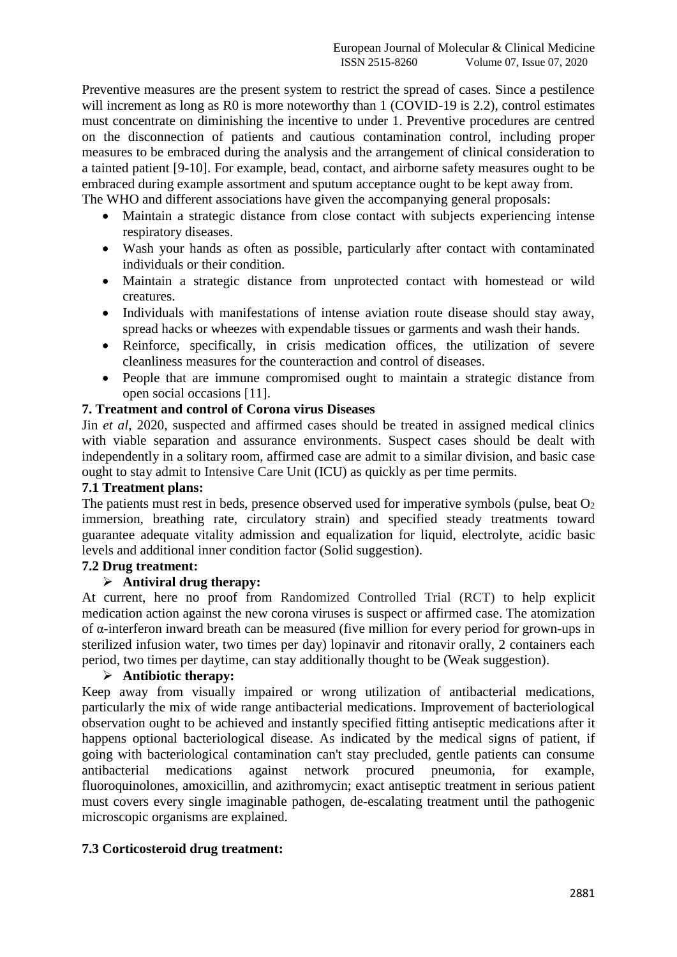Preventive measures are the present system to restrict the spread of cases. Since a pestilence will increment as long as R0 is more noteworthy than 1 (COVID-19 is 2.2), control estimates must concentrate on diminishing the incentive to under 1. Preventive procedures are centred on the disconnection of patients and cautious contamination control, including proper measures to be embraced during the analysis and the arrangement of clinical consideration to a tainted patient [9-10]. For example, bead, contact, and airborne safety measures ought to be embraced during example assortment and sputum acceptance ought to be kept away from. The WHO and different associations have given the accompanying general proposals:

- Maintain a strategic distance from close contact with subjects experiencing intense respiratory diseases.
- Wash your hands as often as possible, particularly after contact with contaminated individuals or their condition.
- Maintain a strategic distance from unprotected contact with homestead or wild creatures.
- Individuals with manifestations of intense aviation route disease should stay away, spread hacks or wheezes with expendable tissues or garments and wash their hands.
- Reinforce, specifically, in crisis medication offices, the utilization of severe cleanliness measures for the counteraction and control of diseases.
- People that are immune compromised ought to maintain a strategic distance from open social occasions [11].

# **7. Treatment and control of Corona virus Diseases**

Jin *et al*, 2020, suspected and affirmed cases should be treated in assigned medical clinics with viable separation and assurance environments. Suspect cases should be dealt with independently in a solitary room, affirmed case are admit to a similar division, and basic case ought to stay admit to Intensive Care Unit (ICU) as quickly as per time permits.

#### **7.1 Treatment plans:**

The patients must rest in beds, presence observed used for imperative symbols (pulse, beat  $O<sub>2</sub>$ ) immersion, breathing rate, circulatory strain) and specified steady treatments toward guarantee adequate vitality admission and equalization for liquid, electrolyte, acidic basic levels and additional inner condition factor (Solid suggestion).

### **7.2 Drug treatment:**

# **Antiviral drug therapy:**

At current, here no proof from Randomized Controlled Trial (RCT) to help explicit medication action against the new corona viruses is suspect or affirmed case. The atomization of α-interferon inward breath can be measured (five million for every period for grown-ups in sterilized infusion water, two times per day) lopinavir and ritonavir orally, 2 containers each period, two times per daytime, can stay additionally thought to be (Weak suggestion).

#### **Antibiotic therapy:**

Keep away from visually impaired or wrong utilization of antibacterial medications, particularly the mix of wide range antibacterial medications. Improvement of bacteriological observation ought to be achieved and instantly specified fitting antiseptic medications after it happens optional bacteriological disease. As indicated by the medical signs of patient, if going with bacteriological contamination can't stay precluded, gentle patients can consume antibacterial medications against network procured pneumonia, for example, fluoroquinolones, amoxicillin, and azithromycin; exact antiseptic treatment in serious patient must covers every single imaginable pathogen, de-escalating treatment until the pathogenic microscopic organisms are explained.

# **7.3 Corticosteroid drug treatment:**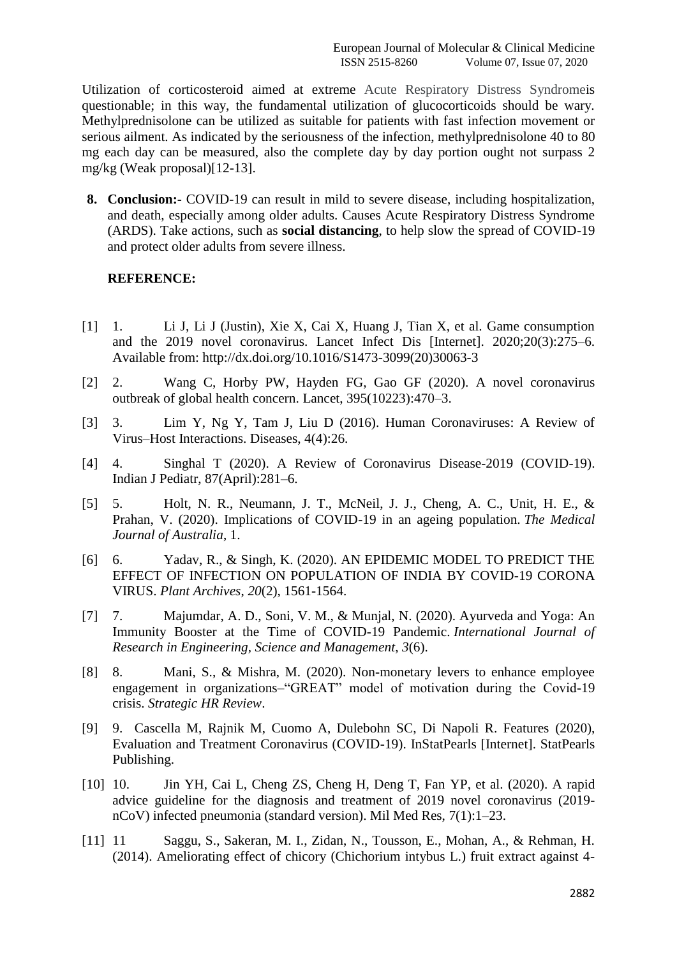Utilization of corticosteroid aimed at extreme Acute Respiratory Distress Syndromeis questionable; in this way, the fundamental utilization of glucocorticoids should be wary. Methylprednisolone can be utilized as suitable for patients with fast infection movement or serious ailment. As indicated by the seriousness of the infection, methylprednisolone 40 to 80 mg each day can be measured, also the complete day by day portion ought not surpass 2 mg/kg (Weak proposal)[12-13].

**8. Conclusion:-** COVID-19 can result in mild to severe disease, including hospitalization, and death, especially among older adults. Causes Acute Respiratory Distress Syndrome (ARDS). Take actions, such as **social distancing**, to help slow the spread of COVID-19 and protect older adults from severe illness.

## **REFERENCE:**

- [1] 1. Li J, Li J (Justin), Xie X, Cai X, Huang J, Tian X, et al. Game consumption and the 2019 novel coronavirus. Lancet Infect Dis [Internet]. 2020;20(3):275–6. Available from: http://dx.doi.org/10.1016/S1473-3099(20)30063-3
- [2] 2. Wang C, Horby PW, Hayden FG, Gao GF (2020). A novel coronavirus outbreak of global health concern. Lancet, 395(10223):470–3.
- [3] 3. Lim Y, Ng Y, Tam J, Liu D (2016). Human Coronaviruses: A Review of Virus–Host Interactions. Diseases, 4(4):26.
- [4] 4. Singhal T (2020). A Review of Coronavirus Disease-2019 (COVID-19). Indian J Pediatr, 87(April):281–6.
- [5] 5. Holt, N. R., Neumann, J. T., McNeil, J. J., Cheng, A. C., Unit, H. E., & Prahan, V. (2020). Implications of COVID-19 in an ageing population. *The Medical Journal of Australia*, 1.
- [6] 6. Yadav, R., & Singh, K. (2020). AN EPIDEMIC MODEL TO PREDICT THE EFFECT OF INFECTION ON POPULATION OF INDIA BY COVID-19 CORONA VIRUS. *Plant Archives*, *20*(2), 1561-1564.
- [7] 7. Majumdar, A. D., Soni, V. M., & Munjal, N. (2020). Ayurveda and Yoga: An Immunity Booster at the Time of COVID-19 Pandemic. *International Journal of Research in Engineering, Science and Management*, *3*(6).
- [8] 8. Mani, S., & Mishra, M. (2020). Non-monetary levers to enhance employee engagement in organizations–"GREAT" model of motivation during the Covid-19 crisis. *Strategic HR Review*.
- [9] 9. Cascella M, Rajnik M, Cuomo A, Dulebohn SC, Di Napoli R. Features (2020), Evaluation and Treatment Coronavirus (COVID-19). InStatPearls [Internet]. StatPearls Publishing.
- [10] 10. Jin YH, Cai L, Cheng ZS, Cheng H, Deng T, Fan YP, et al. (2020). A rapid advice guideline for the diagnosis and treatment of 2019 novel coronavirus (2019 nCoV) infected pneumonia (standard version). Mil Med Res, 7(1):1–23.
- [11] 11 Saggu, S., Sakeran, M. I., Zidan, N., Tousson, E., Mohan, A., & Rehman, H. (2014). Ameliorating effect of chicory (Chichorium intybus L.) fruit extract against 4-